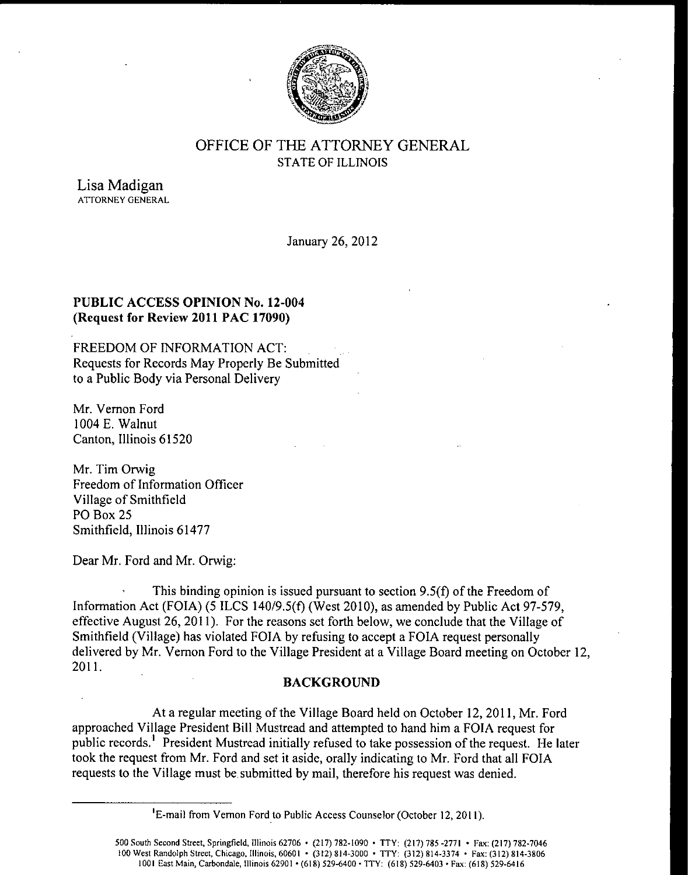

## OFFICE OF THE ATTORNEY GENERAL STATE OF ILLINOIS

Lisa Madigan ATTORNEY GENERAL

January 26, 2012

#### PUBLIC ACCESS OPINION No. 12-004 Request for Review 2011 PAC 17090)

FREEDOM OF INFORMATION ACT: Requests for Records May Properly Be Submitted to a Public Body via Personal Delivery

Mr. Vernon Ford 1004 E. Walnut Canton, Illinois 61520

Mr. Tim Orwig Freedom of Information Officer Village of Smithfield PO Box 25 Smithfield, Illinois 61477

Dear Mr. Ford and Mr. Orwig:

This binding opinion is issued pursuant to section  $9.5(f)$  of the Freedom of Information Act (FOIA) (5 ILCS 140/9.5(f) (West 2010), as amended by Public Act 97-579, effective August 26, 2011). For the reasons set forth below, we conclude that the Village of Smithfield (Village) has violated FOIA by refusing to accept a FOIA request personally delivered by Mr. Vernon Ford to the Village President at <sup>a</sup> Village Board meeting on October 12, 2011.

#### BACKGROUND

At <sup>a</sup> regular meeting of the Village Board held on October 12, 2011, Mr. Ford approached Village President Bill Mustread and attempted to hand him a FOIA request for public records.<sup>1</sup> President Mustread initially refused to take possession of the request. He later took the request from Mr. Ford and set it aside, orally indicating to Mr. Ford that all FOIA requests to the Village must be submitted by mail, therefore his request was denied.

<sup>&</sup>lt;sup>1</sup>E-mail from Vernon Ford to Public Access Counselor (October 12, 2011).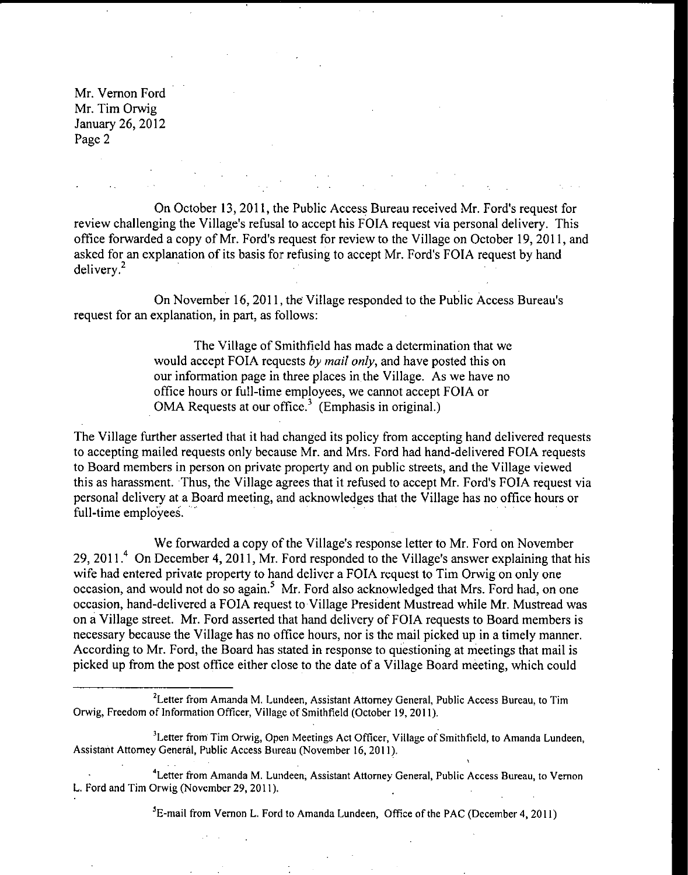Mr. Vernon Ford Mr. Tim Orwig January 26, 2012 Page 2

On October 13, 2011, the Public Access Bureau received Mr. Ford's request for review challenging the Village's refusal to accept his FOIA request via personal delivery. This office forwarded a copy of Mr. Ford's request for review to the Village on October 19, 2011, and asked for an explanation of its basis for refusing to accept Mr. Ford's FOIA request by hand delivery. 2

On November 16, 2011, the Village responded to the Public Access Bureau's request for an explanation, in part, as follows:

> The Village of Smithfield has made <sup>a</sup> determination that we would accept FOIA requests by mail only, and have posted this on our information page in three places in the Village. As we have no office hours or full-time employees, we cannot accept FOIA or OMA Requests at our office.<sup>3</sup> (Emphasis in original.)

The Village further asserted that it had changed its policy from accepting hand delivered requests to accepting mailed requests only because Mr. and Mrs. Ford had hand- delivered FOIA requests to Board members in person on private property and on public streets, and the Village viewed this as harassment. Thus, the Village agrees that it refused to accept Mr. Ford's FOIA request via personal delivery at a Board meeting, and acknowledges that the Village has no office hours or full-time employees.

We forwarded <sup>a</sup> copy of the Village's response letter to Mr. Ford on November 29, 2011.<sup>4</sup> On December 4, 2011, Mr. Ford responded to the Village's answer explaining that his wife had entered private property to hand deliver a FOIA request to Tim Orwig on only one occasion, and would not do so again.<sup>5</sup> Mr. Ford also acknowledged that Mrs. Ford had, on one occasion, hand- delivered <sup>a</sup> FOIA request to Village President Mustread while Mr. Mustread was on a Village street. Mr. Ford asserted that hand delivery of FOIA requests to Board members is necessary because the Village has no office hours, nor is the mail picked up in a timely manner. According to Mr. Ford, the Board has stated in response to questioning at meetings that mail is picked up from the post office either close to the date of <sup>a</sup> Village Board meeting, which could

<sup>5</sup>E-mail from Vernon L. Ford to Amanda Lundeen, Office of the PAC (December 4, 2011)

<sup>&</sup>lt;sup>2</sup> Letter from Amanda M. Lundeen, Assistant Attorney General, Public Access Bureau, to Tim Orwig, Freedom of Information Officer, Village of Smithfield( October 19, 2011).

<sup>&</sup>lt;sup>3</sup> Letter from Tim Orwig, Open Meetings Act Officer, Village of Smithfield, to Amanda Lundeen, Assistant Attorney General, Public Access Bureau( November 16, 2011).

Letter from Amanda M. Lundeen; Assistant Attorney General, Public Access Bureau, to Vernon L. Ford and Tim Orwig( November 29, 2011).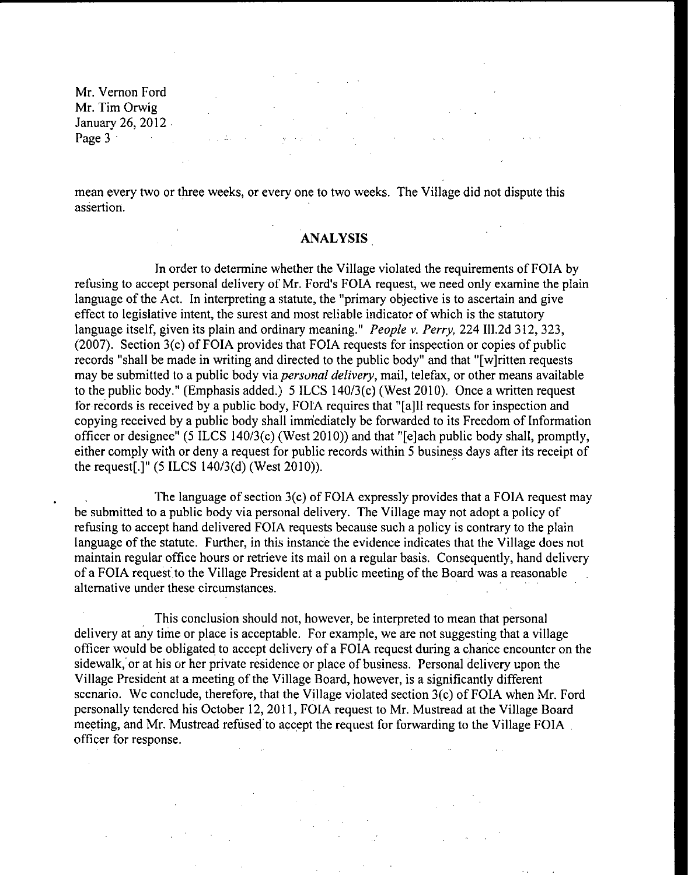Mr. Vernon Ford Mr. Tim Orwig January 26, 2012 Page 3 and 2 and 2 and 2 and 2 and 2 and 2 and 2 and 2 and 2 and 2 and 2 and 2 and 2 and 2 and 2 and 2 and 2 and 2 and 2 and 2 and 2 and 2 and 2 and 2 and 2 and 2 and 2 and 2 and 2 and 2 and 2 and 2 and 2 and 2 and 2 and 2

mean every two or three weeks, or every one to two weeks. The Village did not dispute this assertion.

#### ANALYSIS

In order to determine whether the Village violated the requirements of FOIA by refusing to accept personal delivery of Mr. Ford's FOIA request, we need only examine the plain language of the Act. In interpreting a statute, the "primary objective is to ascertain and give effect to legislative intent, the surest and most reliable indicator of which is the statutory language itself, given its plain and ordinary meaning." *People v. Perry*, 224 Ill.2d 312, 323,  $(2007)$ . Section  $3(c)$  of FOIA provides that FOIA requests for inspection or copies of public records "shall be made in writing and directed to the public body" and that "[w]ritten requests may be submitted to a public body via personal delivery, mail, telefax, or other means available to the public body." (Emphasis added.) 5 ILCS 140/3(c) (West 2010). Once a written request for records is received by a public body, FOIA requires that "[a]ll requests for inspection and copying received by <sup>a</sup> public body shall immediately be forwarded to its Freedom of Information officer or designee" (5 ILCS 140/3(c) (West 2010)) and that "[e]ach public body shall, promptly, either comply with or deny <sup>a</sup> request for public records within <sup>5</sup> business days after its receipt of the request[.]" ( $5$  ILCS 140/3(d) (West 2010)).

The language of section  $3(c)$  of FOIA expressly provides that a FOIA request may be submitted to <sup>a</sup> public body via personal delivery. The Village may not adopt <sup>a</sup> policy of refusing to accept hand delivered FOIA requests because such a policy is contrary to the plain language of the statute. Further, in this instance the evidence indicates that the Village does not maintain regular office hours or retrieve its mail on a regular basis. Consequently, hand delivery of <sup>a</sup> FOIA request to the Village President at <sup>a</sup> public meeting of the Board was <sup>a</sup> reasonable alternative under these circumstances.

This conclusion should not, however, be interpreted to mean that personal delivery at any time or place is acceptable. For example, we are not suggesting that a village officer would be obligated to accept delivery of <sup>a</sup> FOIA request during <sup>a</sup> chance encounter on the sidewalk, or at his or her private residence or place of business. Personal delivery upon the Village President at <sup>a</sup> meeting of the Village Board, however, is <sup>a</sup> significantly different scenario. We conclude, therefore, that the Village violated section  $3(c)$  of FOIA when Mr. Ford personally tendered his October 12, 2011, FOIA request to Mr. Mustread at the Village Board meeting, and Mr. Mustread refused to accept the request for forwarding to the Village FOIA officer for response.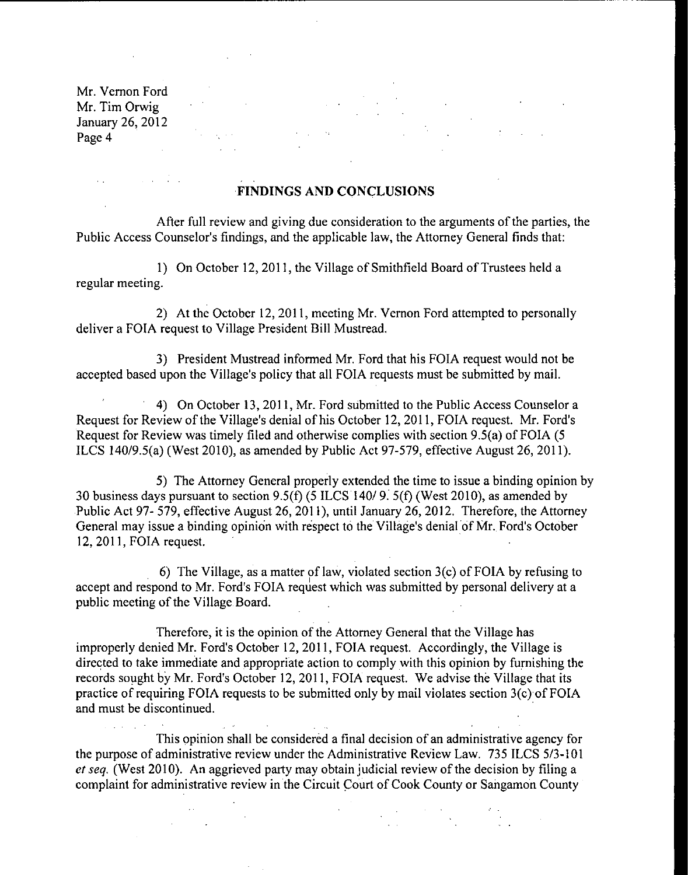Mr. Vernon Ford Mr. Tim Orwig January 26, 2012 Page 4

 $\label{eq:2} \mathcal{L}(\mathcal{L}^{\text{max}}_{\mathcal{L}}(\mathcal{L}^{\text{max}}_{\mathcal{L}})) \leq \mathcal{L}(\mathcal{L}^{\text{max}}_{\mathcal{L}}(\mathcal{L}^{\text{max}}_{\mathcal{L}}))$ 

# $\mathcal{L}^{\text{max}}_{\text{max}}$  ,  $\mathcal{L}^{\text{max}}_{\text{max}}$  $\mathcal{L}^{\text{max}}(\mathbf{z})$  , where  $\mathcal{L}^{\text{max}}(\mathbf{z})$

### FINDINGS AND CONCLUSIONS

After full review and giving due consideration to the arguments of the parties, the Public Access Counselor's findings, and the applicable law, the Attorney General finds that:

1) On October 12, 2011, the Village of Smithfield Board of Trustees held <sup>a</sup> regular meeting.

2) At the October 12, 2011, meeting Mr. Vernon Ford attempted to personally deliver <sup>a</sup> FOIA request to Village President Bill Mustread.

3) President Mustread informed Mr. Ford that his FOIA request would not be accepted based upon the Village's policy that all FOIA requests must be submitted by mail.

4) On October 13, 2011, Mr. Ford submitted to the Public Access Counselor <sup>a</sup> Request for Review of the Village's denial of his October 12, 2011, FOIA request. Mr. Ford's Request for Review was timely filed and otherwise complies with section 9.5(a) of FOIA (5 ILCS 140/9.5(a) (West 2010), as amended by Public Act 97-579, effective August 26, 2011).

5) The Attorney General properly extended the time to issue a binding opinion by 30 business days pursuant to section  $9.5(f)$  (5 ILCS 140/9. 5(f) (West 2010), as amended by Public Act 97- 579, effective August 26, 2011), until January 26, 2012. Therefore, the Attorney General may issue a binding opinion with respect to the Village's denial of Mr. Ford's October 12, 2011, FOIA request.

6) The Village, as a matter of law, violated section  $3(c)$  of FOIA by refusing to accept and respond to Mr. Ford's FOIA request which was submitted by personal delivery at a public meeting of the Village Board.

Therefore, it is the opinion of the Attorney General that the Village has improperly denied Mr. Ford's October 12, 2011, FOIA request. Accordingly, the Village is directed to take immediate and appropriate action to comply with this opinion by furnishing the records sought by Mr. Ford's October 12, 2011, FOIA request. We advise the Village that its practice of requiring FOIA requests to be submitted only by mail violates section 3(c) of FOIA and must be discontinued.

This opinion shall be considered <sup>a</sup> final decision of an administrative agency for the purpose of administrative review under the Administrative Review Law. 735 ILCS 5/3-101 et seq. ( West 2010). An aggrieved party may obtain judicial review of the decision by filing <sup>a</sup> complaint for administrative review in the Circuit Court of Cook County or Sangamon County